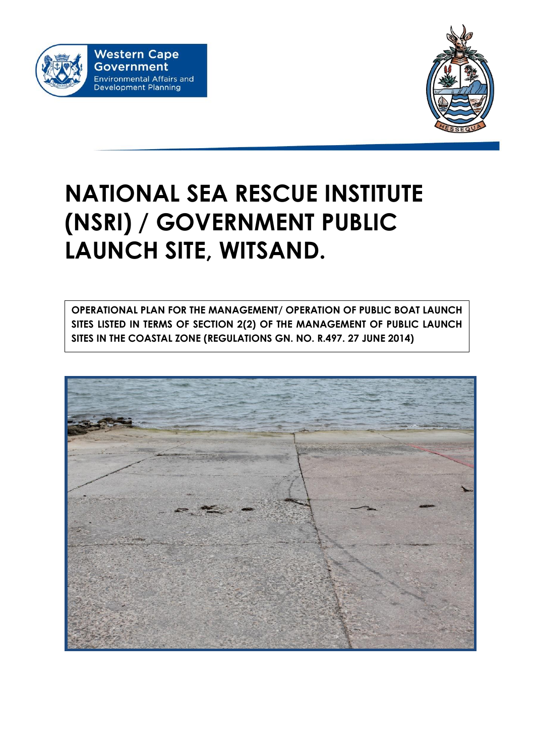



# **NATIONAL SEA RESCUE INSTITUTE (NSRI) / GOVERNMENT PUBLIC LAUNCH SITE, WITSAND.**

**OPERATIONAL PLAN FOR THE MANAGEMENT/ OPERATION OF PUBLIC BOAT LAUNCH SITES LISTED IN TERMS OF SECTION 2(2) OF THE MANAGEMENT OF PUBLIC LAUNCH SITES IN THE COASTAL ZONE (REGULATIONS GN. NO. R.497. 27 JUNE 2014)**

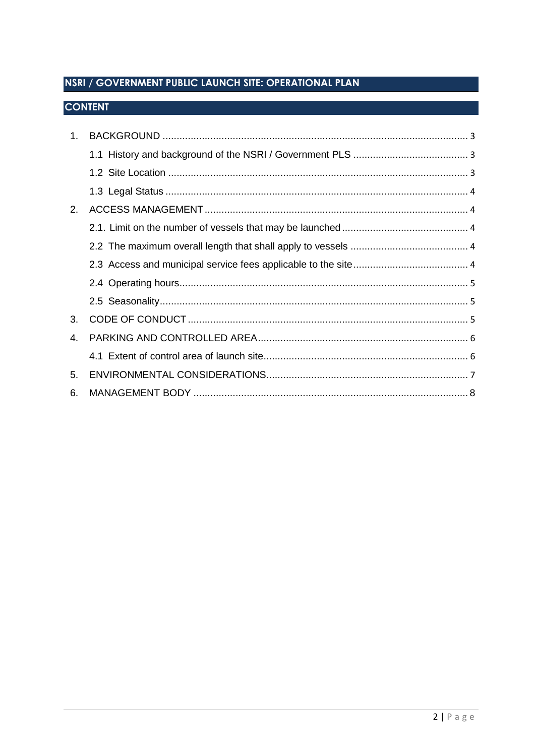# NSRI / GOVERNMENT PUBLIC LAUNCH SITE: OPERATIONAL PLAN

# **CONTENT**

| $1_{-}$ |  |  |  |  |  |
|---------|--|--|--|--|--|
|         |  |  |  |  |  |
|         |  |  |  |  |  |
|         |  |  |  |  |  |
| 2.      |  |  |  |  |  |
|         |  |  |  |  |  |
|         |  |  |  |  |  |
|         |  |  |  |  |  |
|         |  |  |  |  |  |
|         |  |  |  |  |  |
| 3.      |  |  |  |  |  |
| 4.      |  |  |  |  |  |
|         |  |  |  |  |  |
| 5.      |  |  |  |  |  |
| 6.      |  |  |  |  |  |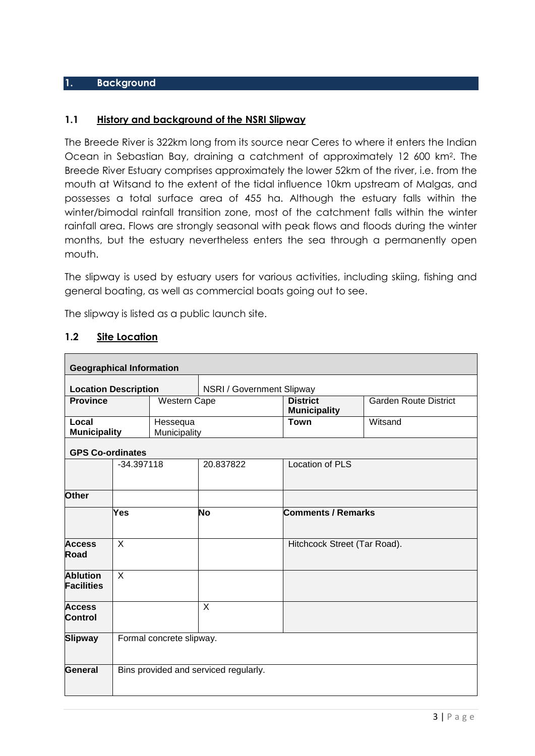#### **1. Background**

#### **1.1 History and background of the NSRI Slipway**

The Breede River is 322km long from its source near Ceres to where it enters the Indian Ocean in Sebastian Bay, draining a catchment of approximately 12 600 km<sup>2</sup> . The Breede River Estuary comprises approximately the lower 52km of the river, i.e. from the mouth at Witsand to the extent of the tidal influence 10km upstream of Malgas, and possesses a total surface area of 455 ha. Although the estuary falls within the winter/bimodal rainfall transition zone, most of the catchment falls within the winter rainfall area. Flows are strongly seasonal with peak flows and floods during the winter months, but the estuary nevertheless enters the sea through a permanently open mouth.

The slipway is used by estuary users for various activities, including skiing, fishing and general boating, as well as commercial boats going out to see.

The slipway is listed as a public launch site.

| 1.2 |  | <b>Site Location</b> |
|-----|--|----------------------|
|-----|--|----------------------|

| <b>Geographical Information</b>            |         |                                       |                           |                                        |                              |  |  |  |  |
|--------------------------------------------|---------|---------------------------------------|---------------------------|----------------------------------------|------------------------------|--|--|--|--|
| <b>Location Description</b>                |         |                                       | NSRI / Government Slipway |                                        |                              |  |  |  |  |
| <b>Province</b>                            |         | <b>Western Cape</b>                   |                           | <b>District</b><br><b>Municipality</b> | <b>Garden Route District</b> |  |  |  |  |
| Local<br><b>Municipality</b>               |         | Hessequa<br>Municipality              |                           | <b>Town</b>                            | Witsand                      |  |  |  |  |
| <b>GPS Co-ordinates</b>                    |         |                                       |                           |                                        |                              |  |  |  |  |
| $-34.397118$                               |         |                                       | 20.837822                 | <b>Location of PLS</b>                 |                              |  |  |  |  |
| <b>Other</b>                               |         |                                       |                           |                                        |                              |  |  |  |  |
|                                            | Yes     |                                       | No                        | <b>Comments / Remarks</b>              |                              |  |  |  |  |
| <b>Access</b><br><b>Road</b>               | $\sf X$ |                                       |                           |                                        | Hitchcock Street (Tar Road). |  |  |  |  |
| <b>Ablution</b><br><b>Facilities</b>       | $\sf X$ |                                       |                           |                                        |                              |  |  |  |  |
| <b>Access</b><br><b>Control</b>            |         |                                       | $\sf X$                   |                                        |                              |  |  |  |  |
| Formal concrete slipway.<br><b>Slipway</b> |         |                                       |                           |                                        |                              |  |  |  |  |
| General                                    |         | Bins provided and serviced regularly. |                           |                                        |                              |  |  |  |  |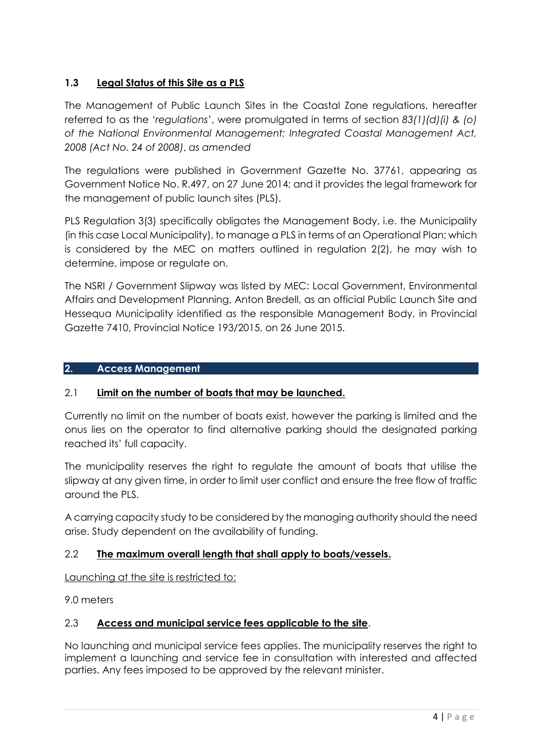# **1.3 Legal Status of this Site as a PLS**

The Management of Public Launch Sites in the Coastal Zone regulations, hereafter referred to as the '*regulations*', were promulgated in terms of section *83(1)(d)(i) & (o) of the National Environmental Management: Integrated Coastal Management Act, 2008 (Act No. 24 of 2008)*, *as amended*

The regulations were published in Government Gazette No. 37761, appearing as Government Notice No. R.497, on 27 June 2014; and it provides the legal framework for the management of public launch sites (PLS).

PLS Regulation 3(3) specifically obligates the Management Body, i.e. the Municipality (in this case Local Municipality), to manage a PLS in terms of an Operational Plan; which is considered by the MEC on matters outlined in regulation 2(2), he may wish to determine, impose or regulate on.

The NSRI / Government Slipway was listed by MEC: Local Government, Environmental Affairs and Development Planning, Anton Bredell, as an official Public Launch Site and Hessequa Municipality identified as the responsible Management Body, in Provincial Gazette 7410, Provincial Notice 193/2015, on 26 June 2015.

## **2. Access Management**

# 2.1 **Limit on the number of boats that may be launched.**

Currently no limit on the number of boats exist, however the parking is limited and the onus lies on the operator to find alternative parking should the designated parking reached its' full capacity.

The municipality reserves the right to regulate the amount of boats that utilise the slipway at any given time, in order to limit user conflict and ensure the free flow of traffic around the PLS.

A carrying capacity study to be considered by the managing authority should the need arise. Study dependent on the availability of funding.

# 2.2 **The maximum overall length that shall apply to boats/vessels.**

Launching at the site is restricted to:

9.0 meters

# 2.3 **Access and municipal service fees applicable to the site**.

No launching and municipal service fees applies. The municipality reserves the right to implement a launching and service fee in consultation with interested and affected parties. Any fees imposed to be approved by the relevant minister.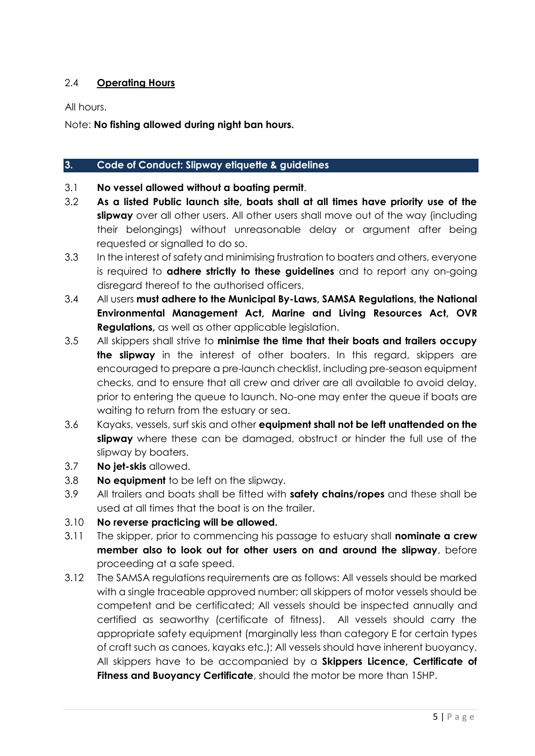## 2.4 **Operating Hours**

All hours.

Note: **No fishing allowed during night ban hours.**

#### **3. Code of Conduct: Slipway etiquette & guidelines**

- 3.1 **No vessel allowed without a boating permit**.
- 3.2 **As a listed Public launch site, boats shall at all times have priority use of the slipway** over all other users. All other users shall move out of the way (including their belongings) without unreasonable delay or argument after being requested or signalled to do so.
- 3.3 In the interest of safety and minimising frustration to boaters and others, everyone is required to **adhere strictly to these guidelines** and to report any on-going disregard thereof to the authorised officers.
- 3.4 All users **must adhere to the Municipal By-Laws, SAMSA Regulations, the National Environmental Management Act, Marine and Living Resources Act, OVR Regulations,** as well as other applicable legislation.
- 3.5 All skippers shall strive to **minimise the time that their boats and trailers occupy the slipway** in the interest of other boaters. In this regard, skippers are encouraged to prepare a pre-launch checklist, including pre-season equipment checks, and to ensure that all crew and driver are all available to avoid delay, prior to entering the queue to launch. No-one may enter the queue if boats are waiting to return from the estuary or sea.
- 3.6 Kayaks, vessels, surf skis and other **equipment shall not be left unattended on the slipway** where these can be damaged, obstruct or hinder the full use of the slipway by boaters.
- 3.7 **No jet-skis** allowed.
- 3.8 **No equipment** to be left on the slipway.
- 3.9 All trailers and boats shall be fitted with **safety chains/ropes** and these shall be used at all times that the boat is on the trailer.
- 3.10 **No reverse practicing will be allowed.**
- 3.11 The skipper, prior to commencing his passage to estuary shall **nominate a crew member also to look out for other users on and around the slipway**, before proceeding at a safe speed.
- 3.12 The SAMSA regulations requirements are as follows: All vessels should be marked with a single traceable approved number; all skippers of motor vessels should be competent and be certificated; All vessels should be inspected annually and certified as seaworthy (certificate of fitness). All vessels should carry the appropriate safety equipment (marginally less than category E for certain types of craft such as canoes, kayaks etc.); All vessels should have inherent buoyancy. All skippers have to be accompanied by a **Skippers Licence, Certificate of Fitness and Buoyancy Certificate**, should the motor be more than 15HP.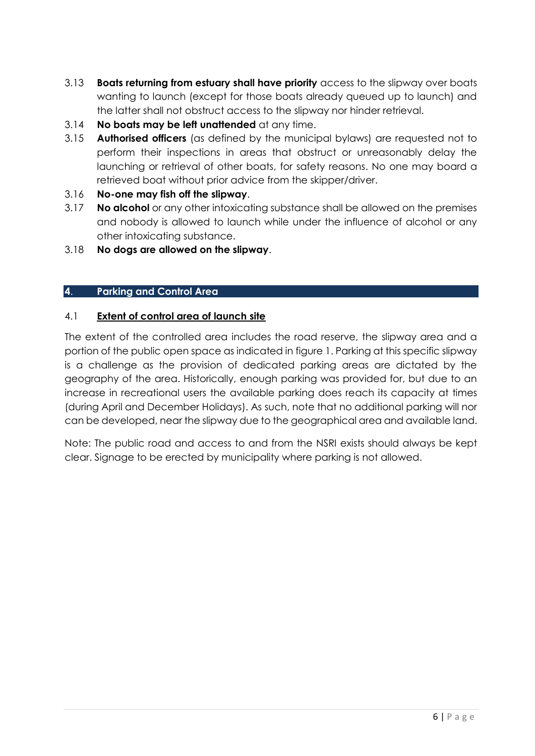- 3.13 **Boats returning from estuary shall have priority** access to the slipway over boats wanting to launch (except for those boats already queued up to launch) and the latter shall not obstruct access to the slipway nor hinder retrieval.
- 3.14 **No boats may be left unattended** at any time.
- 3.15 **Authorised officers** (as defined by the municipal bylaws) are requested not to perform their inspections in areas that obstruct or unreasonably delay the launching or retrieval of other boats, for safety reasons. No one may board a retrieved boat without prior advice from the skipper/driver.
- 3.16 **No-one may fish off the slipway**.
- 3.17 **No alcohol** or any other intoxicating substance shall be allowed on the premises and nobody is allowed to launch while under the influence of alcohol or any other intoxicating substance.
- 3.18 **No dogs are allowed on the slipway**.

## **4**. **Parking and Control Area**

#### 4.1 **Extent of control area of launch site**

The extent of the controlled area includes the road reserve, the slipway area and a portion of the public open space as indicated in figure 1. Parking at this specific slipway is a challenge as the provision of dedicated parking areas are dictated by the geography of the area. Historically, enough parking was provided for, but due to an increase in recreational users the available parking does reach its capacity at times (during April and December Holidays). As such, note that no additional parking will nor can be developed, near the slipway due to the geographical area and available land.

Note: The public road and access to and from the NSRI exists should always be kept clear. Signage to be erected by municipality where parking is not allowed.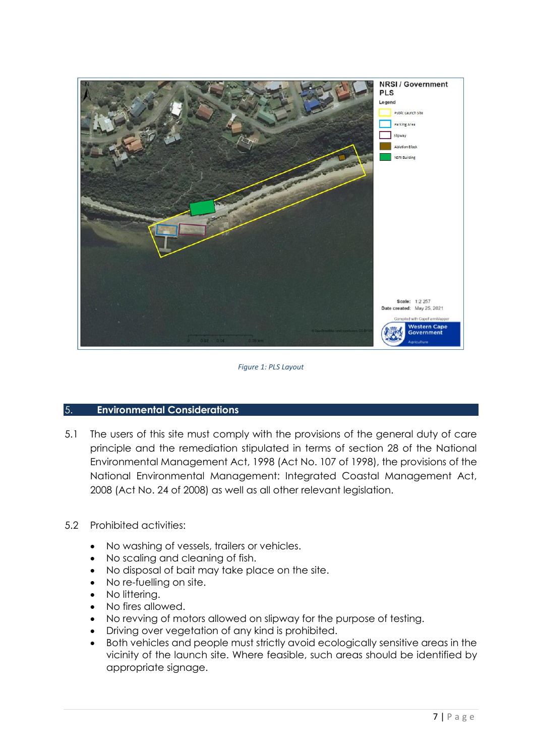

*Figure 1: PLS Layout*

#### 5. **Environmental Considerations**

5.1 The users of this site must comply with the provisions of the general duty of care principle and the remediation stipulated in terms of section 28 of the National Environmental Management Act, 1998 (Act No. 107 of 1998), the provisions of the National Environmental Management: Integrated Coastal Management Act, 2008 (Act No. 24 of 2008) as well as all other relevant legislation.

## 5.2 Prohibited activities:

- No washing of vessels, trailers or vehicles.
- No scaling and cleaning of fish.
- No disposal of bait may take place on the site.
- No re-fuelling on site.
- No littering.
- No fires allowed.
- No revving of motors allowed on slipway for the purpose of testing.
- Driving over vegetation of any kind is prohibited.
- Both vehicles and people must strictly avoid ecologically sensitive areas in the vicinity of the launch site. Where feasible, such areas should be identified by appropriate signage.